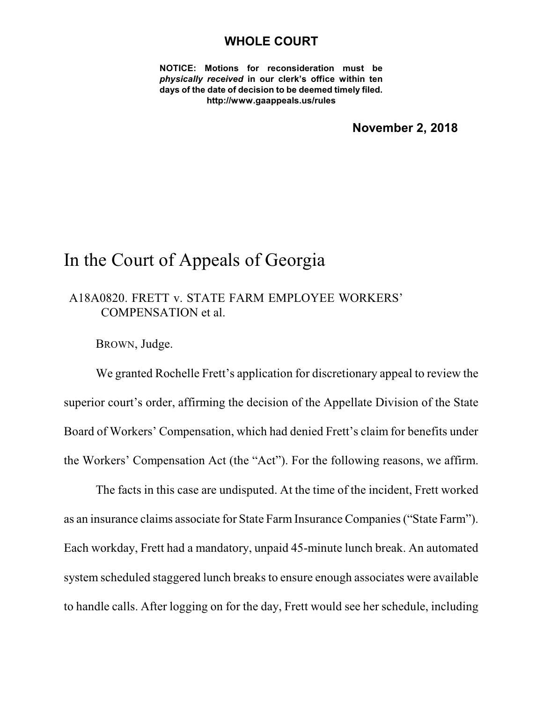#### **WHOLE COURT**

**NOTICE: Motions for reconsideration must be** *physically received* **in our clerk's office within ten days of the date of decision to be deemed timely filed. http://www.gaappeals.us/rules**

**November 2, 2018**

### In the Court of Appeals of Georgia

### A18A0820. FRETT v. STATE FARM EMPLOYEE WORKERS' COMPENSATION et al.

BROWN, Judge.

We granted Rochelle Frett's application for discretionary appeal to review the superior court's order, affirming the decision of the Appellate Division of the State Board of Workers' Compensation, which had denied Frett's claim for benefits under the Workers' Compensation Act (the "Act"). For the following reasons, we affirm.

The facts in this case are undisputed. At the time of the incident, Frett worked as an insurance claims associate for State Farm Insurance Companies("State Farm"). Each workday, Frett had a mandatory, unpaid 45-minute lunch break. An automated system scheduled staggered lunch breaks to ensure enough associates were available to handle calls. After logging on for the day, Frett would see her schedule, including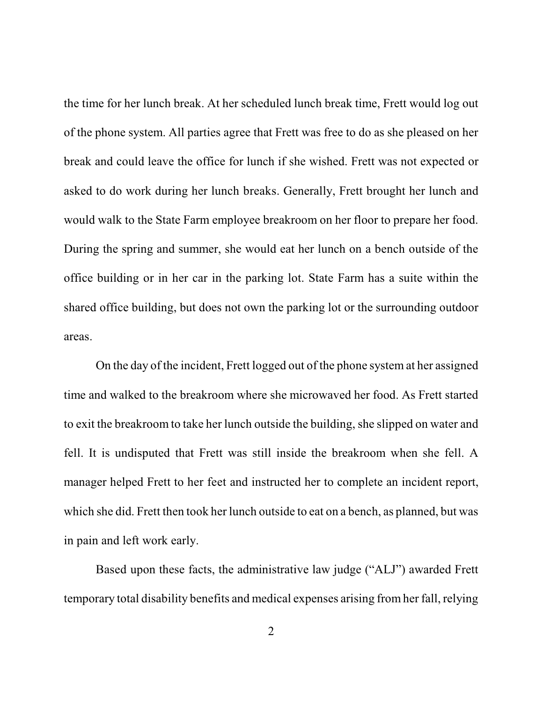the time for her lunch break. At her scheduled lunch break time, Frett would log out of the phone system. All parties agree that Frett was free to do as she pleased on her break and could leave the office for lunch if she wished. Frett was not expected or asked to do work during her lunch breaks. Generally, Frett brought her lunch and would walk to the State Farm employee breakroom on her floor to prepare her food. During the spring and summer, she would eat her lunch on a bench outside of the office building or in her car in the parking lot. State Farm has a suite within the shared office building, but does not own the parking lot or the surrounding outdoor areas.

On the day of the incident, Frett logged out of the phone system at her assigned time and walked to the breakroom where she microwaved her food. As Frett started to exit the breakroom to take her lunch outside the building, she slipped on water and fell. It is undisputed that Frett was still inside the breakroom when she fell. A manager helped Frett to her feet and instructed her to complete an incident report, which she did. Frett then took her lunch outside to eat on a bench, as planned, but was in pain and left work early.

Based upon these facts, the administrative law judge ("ALJ") awarded Frett temporary total disability benefits and medical expenses arising from her fall, relying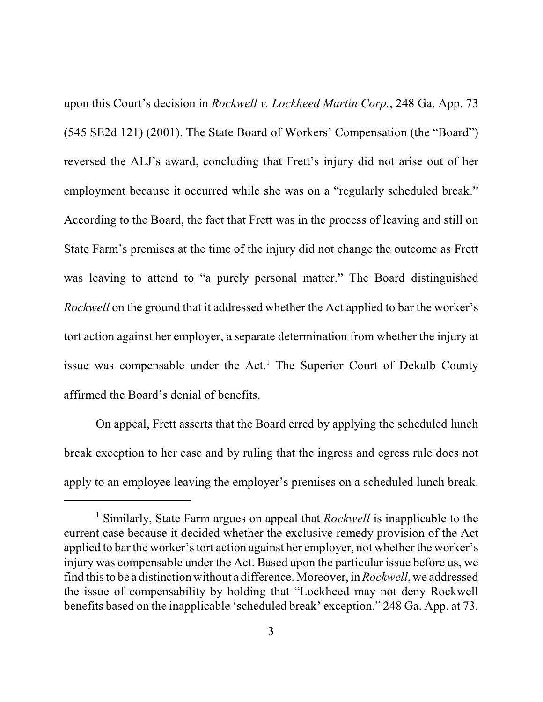upon this Court's decision in *Rockwell v. Lockheed Martin Corp.*, 248 Ga. App. 73 (545 SE2d 121) (2001). The State Board of Workers' Compensation (the "Board") reversed the ALJ's award, concluding that Frett's injury did not arise out of her employment because it occurred while she was on a "regularly scheduled break." According to the Board, the fact that Frett was in the process of leaving and still on State Farm's premises at the time of the injury did not change the outcome as Frett was leaving to attend to "a purely personal matter." The Board distinguished *Rockwell* on the ground that it addressed whether the Act applied to bar the worker's tort action against her employer, a separate determination from whether the injury at issue was compensable under the Act. <sup>1</sup> The Superior Court of Dekalb County affirmed the Board's denial of benefits.

On appeal, Frett asserts that the Board erred by applying the scheduled lunch break exception to her case and by ruling that the ingress and egress rule does not apply to an employee leaving the employer's premises on a scheduled lunch break.

<sup>1</sup> Similarly, State Farm argues on appeal that *Rockwell* is inapplicable to the current case because it decided whether the exclusive remedy provision of the Act applied to bar the worker's tort action against her employer, not whether the worker's injury was compensable under the Act. Based upon the particular issue before us, we find thisto be a distinction without a difference. Moreover, in *Rockwell*, we addressed the issue of compensability by holding that "Lockheed may not deny Rockwell benefits based on the inapplicable 'scheduled break' exception." 248 Ga. App. at 73.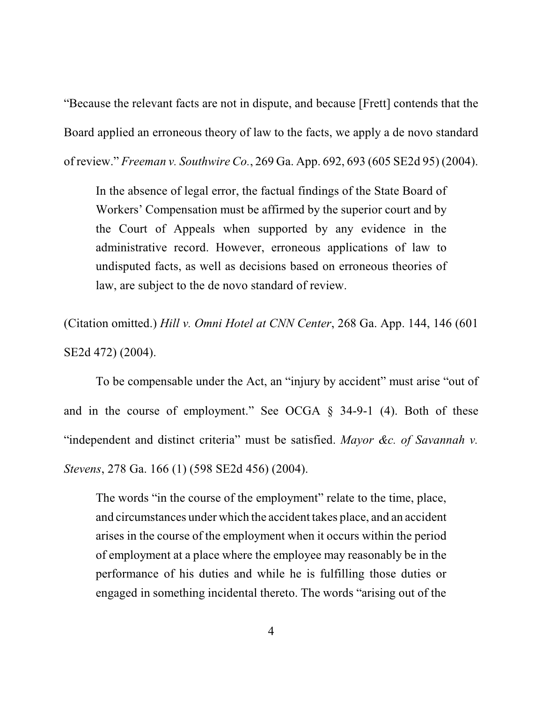"Because the relevant facts are not in dispute, and because [Frett] contends that the Board applied an erroneous theory of law to the facts, we apply a de novo standard of review." *Freeman v. Southwire Co.*, 269 Ga. App. 692, 693 (605 SE2d 95) (2004).

In the absence of legal error, the factual findings of the State Board of Workers' Compensation must be affirmed by the superior court and by the Court of Appeals when supported by any evidence in the administrative record. However, erroneous applications of law to undisputed facts, as well as decisions based on erroneous theories of law, are subject to the de novo standard of review.

(Citation omitted.) *Hill v. Omni Hotel at CNN Center*, 268 Ga. App. 144, 146 (601 SE2d 472) (2004).

To be compensable under the Act, an "injury by accident" must arise "out of and in the course of employment." See OCGA § 34-9-1 (4). Both of these "independent and distinct criteria" must be satisfied. *Mayor &c. of Savannah v. Stevens*, 278 Ga. 166 (1) (598 SE2d 456) (2004).

The words "in the course of the employment" relate to the time, place, and circumstances under which the accident takes place, and an accident arises in the course of the employment when it occurs within the period of employment at a place where the employee may reasonably be in the performance of his duties and while he is fulfilling those duties or engaged in something incidental thereto. The words "arising out of the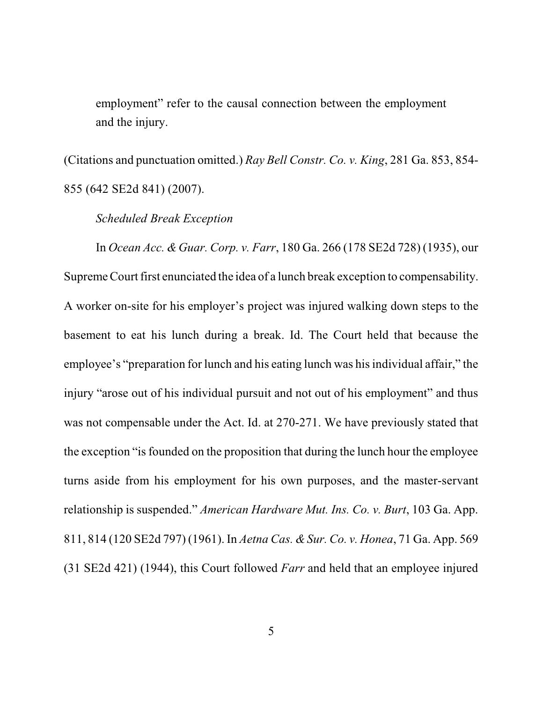employment" refer to the causal connection between the employment and the injury.

(Citations and punctuation omitted.) *Ray Bell Constr. Co. v. King*, 281 Ga. 853, 854- 855 (642 SE2d 841) (2007).

*Scheduled Break Exception*

In *Ocean Acc. &Guar. Corp. v. Farr*, 180 Ga. 266 (178 SE2d 728) (1935), our Supreme Court first enunciated the idea of a lunch break exception to compensability. A worker on-site for his employer's project was injured walking down steps to the basement to eat his lunch during a break. Id. The Court held that because the employee's "preparation for lunch and his eating lunch was hisindividual affair," the injury "arose out of his individual pursuit and not out of his employment" and thus was not compensable under the Act. Id. at 270-271. We have previously stated that the exception "is founded on the proposition that during the lunch hour the employee turns aside from his employment for his own purposes, and the master-servant relationship is suspended." *American Hardware Mut. Ins. Co. v. Burt*, 103 Ga. App. 811, 814 (120 SE2d 797) (1961). In *Aetna Cas. &Sur. Co. v. Honea*, 71 Ga. App. 569 (31 SE2d 421) (1944), this Court followed *Farr* and held that an employee injured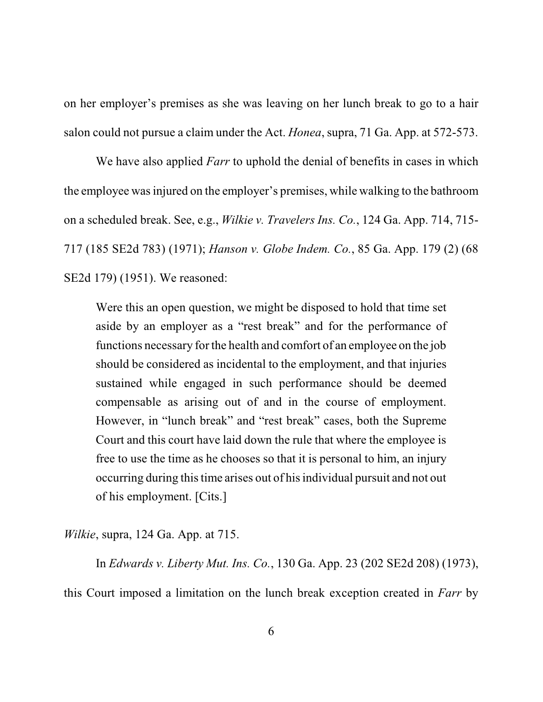on her employer's premises as she was leaving on her lunch break to go to a hair salon could not pursue a claim under the Act. *Honea*, supra, 71 Ga. App. at 572-573.

We have also applied *Farr* to uphold the denial of benefits in cases in which the employee wasinjured on the employer's premises, while walking to the bathroom on a scheduled break. See, e.g., *Wilkie v. Travelers Ins. Co.*, 124 Ga. App. 714, 715- 717 (185 SE2d 783) (1971); *Hanson v. Globe Indem. Co.*, 85 Ga. App. 179 (2) (68 SE2d 179) (1951). We reasoned:

Were this an open question, we might be disposed to hold that time set aside by an employer as a "rest break" and for the performance of functions necessary for the health and comfort of an employee on the job should be considered as incidental to the employment, and that injuries sustained while engaged in such performance should be deemed compensable as arising out of and in the course of employment. However, in "lunch break" and "rest break" cases, both the Supreme Court and this court have laid down the rule that where the employee is free to use the time as he chooses so that it is personal to him, an injury occurring during thistime arises out of his individual pursuit and not out of his employment. [Cits.]

*Wilkie*, supra, 124 Ga. App. at 715.

In *Edwards v. Liberty Mut. Ins. Co.*, 130 Ga. App. 23 (202 SE2d 208) (1973), this Court imposed a limitation on the lunch break exception created in *Farr* by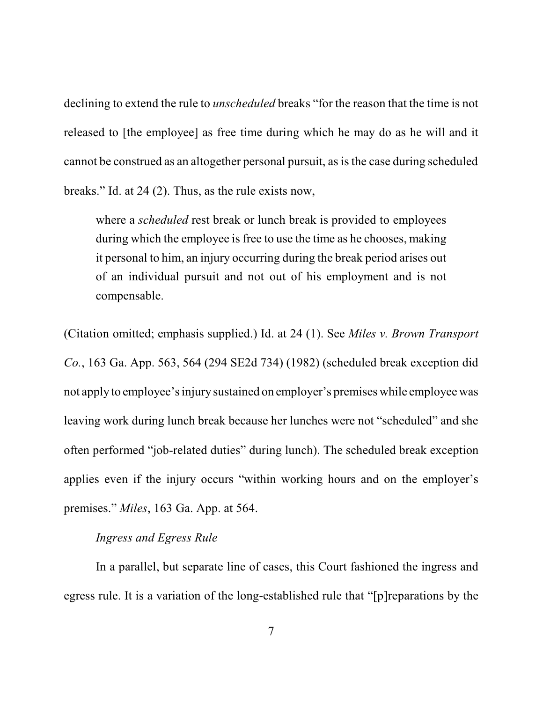declining to extend the rule to *unscheduled* breaks "for the reason that the time is not released to [the employee] as free time during which he may do as he will and it cannot be construed as an altogether personal pursuit, as isthe case during scheduled breaks." Id. at 24 (2). Thus, as the rule exists now,

where a *scheduled* rest break or lunch break is provided to employees during which the employee is free to use the time as he chooses, making it personal to him, an injury occurring during the break period arises out of an individual pursuit and not out of his employment and is not compensable.

(Citation omitted; emphasis supplied.) Id. at 24 (1). See *Miles v. Brown Transport Co.*, 163 Ga. App. 563, 564 (294 SE2d 734) (1982) (scheduled break exception did not apply to employee'sinjury sustained on employer's premises while employee was leaving work during lunch break because her lunches were not "scheduled" and she often performed "job-related duties" during lunch). The scheduled break exception applies even if the injury occurs "within working hours and on the employer's premises." *Miles*, 163 Ga. App. at 564.

### *Ingress and Egress Rule*

In a parallel, but separate line of cases, this Court fashioned the ingress and egress rule. It is a variation of the long-established rule that "[p]reparations by the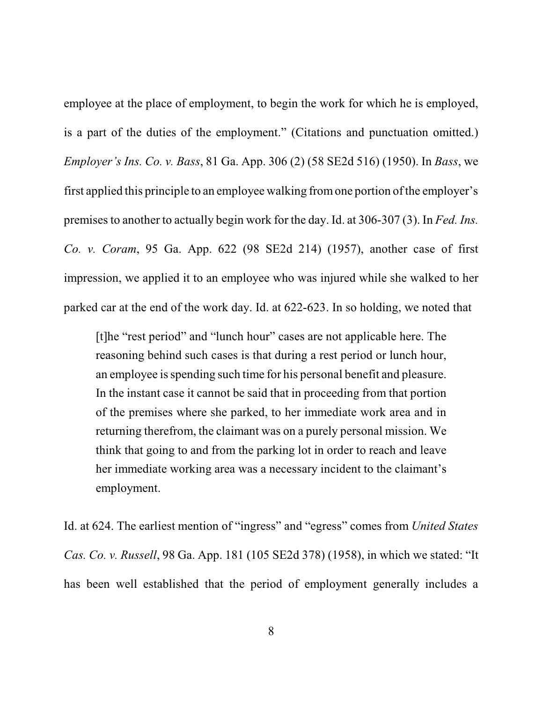employee at the place of employment, to begin the work for which he is employed, is a part of the duties of the employment." (Citations and punctuation omitted.) *Employer's Ins. Co. v. Bass*, 81 Ga. App. 306 (2) (58 SE2d 516) (1950). In *Bass*, we first applied this principle to an employee walking fromone portion of the employer's premises to another to actually begin work for the day. Id. at 306-307 (3). In *Fed. Ins. Co. v. Coram*, 95 Ga. App. 622 (98 SE2d 214) (1957), another case of first impression, we applied it to an employee who was injured while she walked to her parked car at the end of the work day. Id. at 622-623. In so holding, we noted that

[t]he "rest period" and "lunch hour" cases are not applicable here. The reasoning behind such cases is that during a rest period or lunch hour, an employee is spending such time for his personal benefit and pleasure. In the instant case it cannot be said that in proceeding from that portion of the premises where she parked, to her immediate work area and in returning therefrom, the claimant was on a purely personal mission. We think that going to and from the parking lot in order to reach and leave her immediate working area was a necessary incident to the claimant's employment.

Id. at 624. The earliest mention of "ingress" and "egress" comes from *United States Cas. Co. v. Russell*, 98 Ga. App. 181 (105 SE2d 378) (1958), in which we stated: "It has been well established that the period of employment generally includes a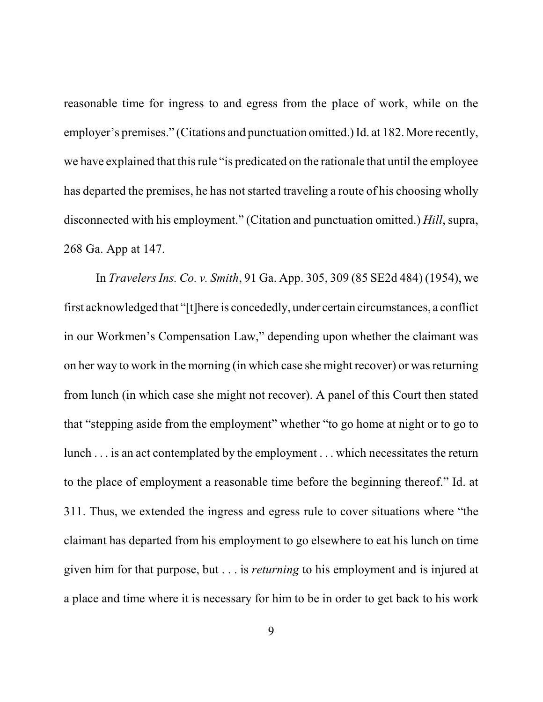reasonable time for ingress to and egress from the place of work, while on the employer's premises." (Citations and punctuation omitted.) Id. at 182. More recently, we have explained that this rule "is predicated on the rationale that until the employee has departed the premises, he has not started traveling a route of his choosing wholly disconnected with his employment." (Citation and punctuation omitted.) *Hill*, supra, 268 Ga. App at 147.

In *Travelers Ins. Co. v. Smith*, 91 Ga. App. 305, 309 (85 SE2d 484) (1954), we first acknowledged that "[t]here is concededly, under certain circumstances, a conflict in our Workmen's Compensation Law," depending upon whether the claimant was on her way to work in the morning (in which case she might recover) or wasreturning from lunch (in which case she might not recover). A panel of this Court then stated that "stepping aside from the employment" whether "to go home at night or to go to lunch . . . is an act contemplated by the employment . . . which necessitates the return to the place of employment a reasonable time before the beginning thereof." Id. at 311. Thus, we extended the ingress and egress rule to cover situations where "the claimant has departed from his employment to go elsewhere to eat his lunch on time given him for that purpose, but . . . is *returning* to his employment and is injured at a place and time where it is necessary for him to be in order to get back to his work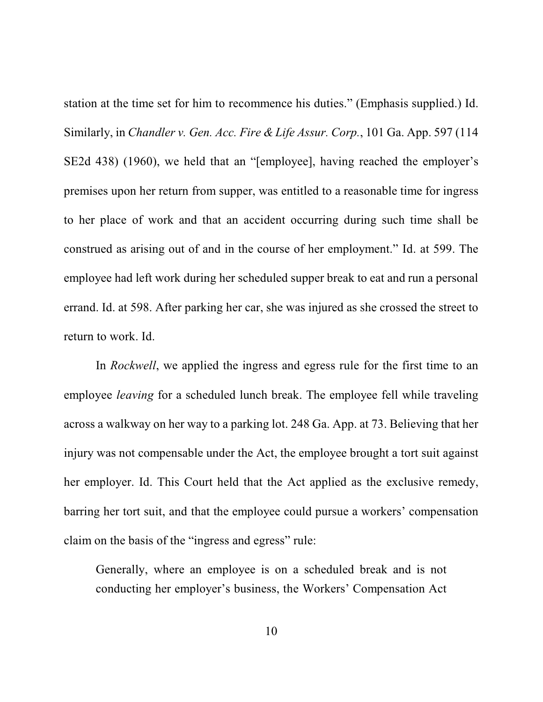station at the time set for him to recommence his duties." (Emphasis supplied.) Id. Similarly, in *Chandler v. Gen. Acc. Fire & Life Assur. Corp.*, 101 Ga. App. 597 (114 SE2d 438) (1960), we held that an "[employee], having reached the employer's premises upon her return from supper, was entitled to a reasonable time for ingress to her place of work and that an accident occurring during such time shall be construed as arising out of and in the course of her employment." Id. at 599. The employee had left work during her scheduled supper break to eat and run a personal errand. Id. at 598. After parking her car, she was injured as she crossed the street to return to work. Id.

In *Rockwell*, we applied the ingress and egress rule for the first time to an employee *leaving* for a scheduled lunch break. The employee fell while traveling across a walkway on her way to a parking lot. 248 Ga. App. at 73. Believing that her injury was not compensable under the Act, the employee brought a tort suit against her employer. Id. This Court held that the Act applied as the exclusive remedy, barring her tort suit, and that the employee could pursue a workers' compensation claim on the basis of the "ingress and egress" rule:

Generally, where an employee is on a scheduled break and is not conducting her employer's business, the Workers' Compensation Act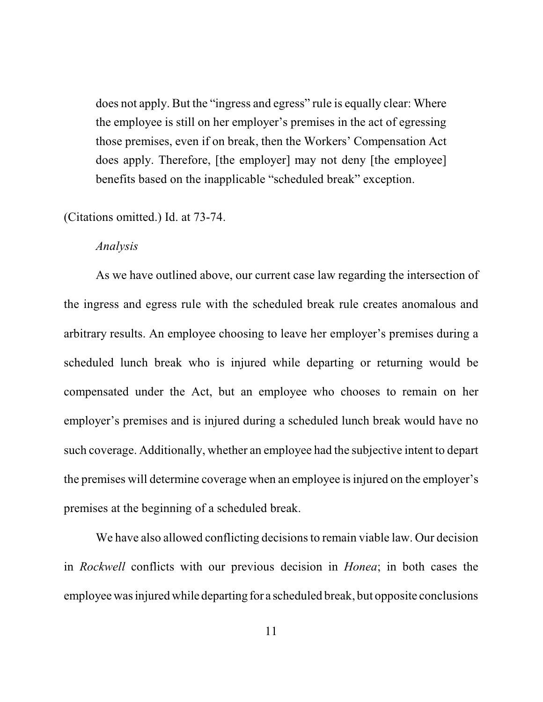does not apply. But the "ingress and egress" rule is equally clear: Where the employee is still on her employer's premises in the act of egressing those premises, even if on break, then the Workers' Compensation Act does apply. Therefore, [the employer] may not deny [the employee] benefits based on the inapplicable "scheduled break" exception.

(Citations omitted.) Id. at 73-74.

#### *Analysis*

As we have outlined above, our current case law regarding the intersection of the ingress and egress rule with the scheduled break rule creates anomalous and arbitrary results. An employee choosing to leave her employer's premises during a scheduled lunch break who is injured while departing or returning would be compensated under the Act, but an employee who chooses to remain on her employer's premises and is injured during a scheduled lunch break would have no such coverage. Additionally, whether an employee had the subjective intent to depart the premises will determine coverage when an employee is injured on the employer's premises at the beginning of a scheduled break.

We have also allowed conflicting decisions to remain viable law. Our decision in *Rockwell* conflicts with our previous decision in *Honea*; in both cases the employee wasinjured while departing for a scheduled break, but opposite conclusions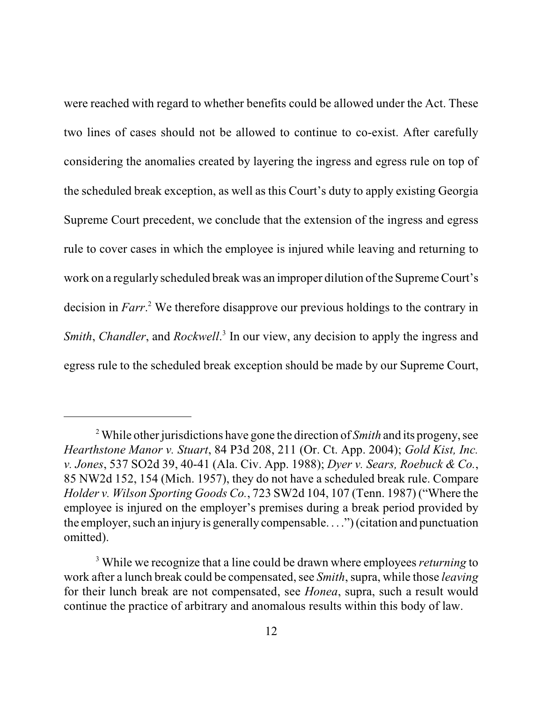were reached with regard to whether benefits could be allowed under the Act. These two lines of cases should not be allowed to continue to co-exist. After carefully considering the anomalies created by layering the ingress and egress rule on top of the scheduled break exception, as well as this Court's duty to apply existing Georgia Supreme Court precedent, we conclude that the extension of the ingress and egress rule to cover cases in which the employee is injured while leaving and returning to work on a regularly scheduled break was an improper dilution of the Supreme Court's decision in *Farr*. <sup>2</sup> We therefore disapprove our previous holdings to the contrary in Smith, Chandler, and Rockwell.<sup>3</sup> In our view, any decision to apply the ingress and egress rule to the scheduled break exception should be made by our Supreme Court,

<sup>2</sup> While other jurisdictions have gone the direction of *Smith* and its progeny, see *Hearthstone Manor v. Stuart*, 84 P3d 208, 211 (Or. Ct. App. 2004); *Gold Kist, Inc. v. Jones*, 537 SO2d 39, 40-41 (Ala. Civ. App. 1988); *Dyer v. Sears, Roebuck & Co.*, 85 NW2d 152, 154 (Mich. 1957), they do not have a scheduled break rule. Compare *Holder v. Wilson Sporting Goods Co.*, 723 SW2d 104, 107 (Tenn. 1987) ("Where the employee is injured on the employer's premises during a break period provided by the employer, such an injury is generally compensable. . . .") (citation and punctuation omitted).

<sup>3</sup> While we recognize that a line could be drawn where employees *returning* to work after a lunch break could be compensated, see *Smith*, supra, while those *leaving* for their lunch break are not compensated, see *Honea*, supra, such a result would continue the practice of arbitrary and anomalous results within this body of law.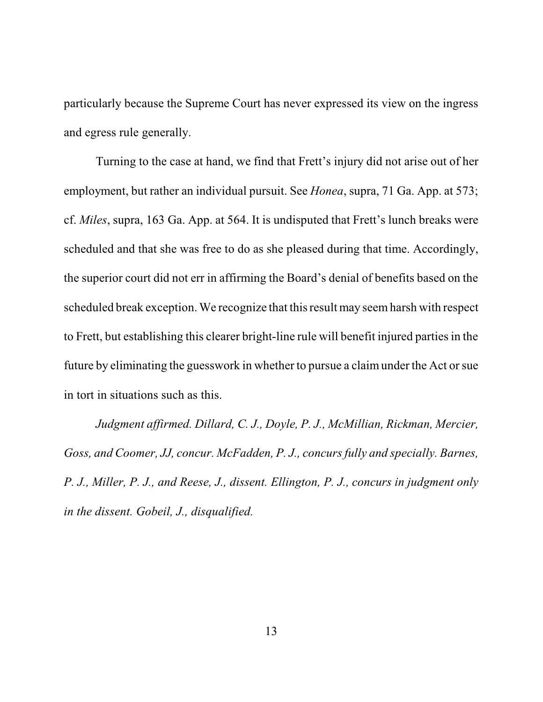particularly because the Supreme Court has never expressed its view on the ingress and egress rule generally.

Turning to the case at hand, we find that Frett's injury did not arise out of her employment, but rather an individual pursuit. See *Honea*, supra, 71 Ga. App. at 573; cf. *Miles*, supra, 163 Ga. App. at 564. It is undisputed that Frett's lunch breaks were scheduled and that she was free to do as she pleased during that time. Accordingly, the superior court did not err in affirming the Board's denial of benefits based on the scheduled break exception. We recognize that thisresult may seemharsh with respect to Frett, but establishing this clearer bright-line rule will benefit injured partiesin the future by eliminating the guesswork in whether to pursue a claimunder the Act or sue in tort in situations such as this.

*Judgment affirmed. Dillard, C. J., Doyle, P. J., McMillian, Rickman, Mercier, Goss, and Coomer, JJ, concur. McFadden, P. J., concursfully and specially. Barnes, P. J., Miller, P. J., and Reese, J., dissent. Ellington, P. J., concurs in judgment only in the dissent. Gobeil, J., disqualified.*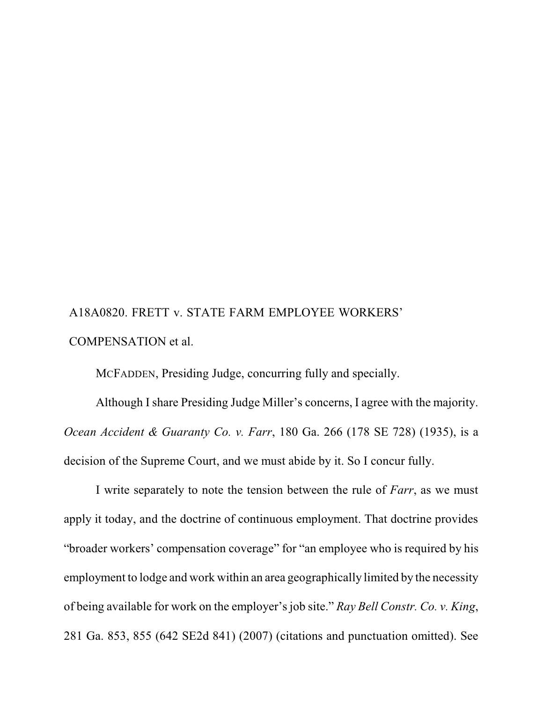# A18A0820. FRETT v. STATE FARM EMPLOYEE WORKERS' COMPENSATION et al.

MCFADDEN, Presiding Judge, concurring fully and specially.

Although I share Presiding Judge Miller's concerns, I agree with the majority. *Ocean Accident & Guaranty Co. v. Farr*, 180 Ga. 266 (178 SE 728) (1935), is a decision of the Supreme Court, and we must abide by it. So I concur fully.

I write separately to note the tension between the rule of *Farr*, as we must apply it today, and the doctrine of continuous employment. That doctrine provides "broader workers' compensation coverage" for "an employee who is required by his employment to lodge and work within an area geographically limited by the necessity of being available for work on the employer's job site." *Ray Bell Constr. Co. v. King*, 281 Ga. 853, 855 (642 SE2d 841) (2007) (citations and punctuation omitted). See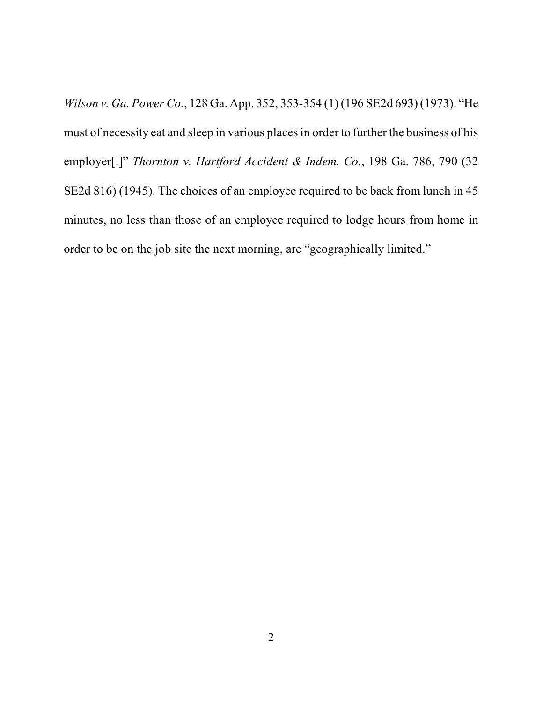*Wilson v. Ga. Power Co.*, 128 Ga. App. 352, 353-354 (1) (196 SE2d 693) (1973). "He must of necessity eat and sleep in various placesin order to further the business of his employer[.]" *Thornton v. Hartford Accident & Indem. Co.*, 198 Ga. 786, 790 (32 SE2d 816) (1945). The choices of an employee required to be back from lunch in 45 minutes, no less than those of an employee required to lodge hours from home in order to be on the job site the next morning, are "geographically limited."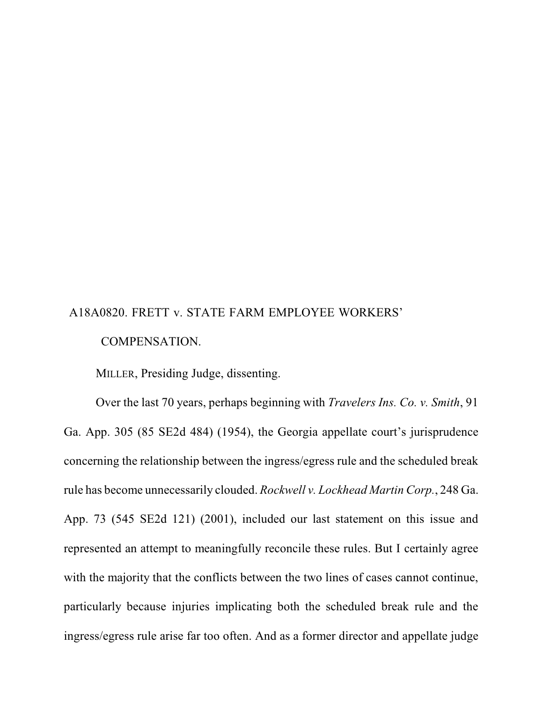## A18A0820. FRETT v. STATE FARM EMPLOYEE WORKERS' COMPENSATION.

MILLER, Presiding Judge, dissenting.

Over the last 70 years, perhaps beginning with *Travelers Ins. Co. v. Smith*, 91 Ga. App. 305 (85 SE2d 484) (1954), the Georgia appellate court's jurisprudence concerning the relationship between the ingress/egress rule and the scheduled break rule has become unnecessarily clouded. *Rockwell v. Lockhead Martin Corp.*, 248 Ga. App. 73 (545 SE2d 121) (2001), included our last statement on this issue and represented an attempt to meaningfully reconcile these rules. But I certainly agree with the majority that the conflicts between the two lines of cases cannot continue, particularly because injuries implicating both the scheduled break rule and the ingress/egress rule arise far too often. And as a former director and appellate judge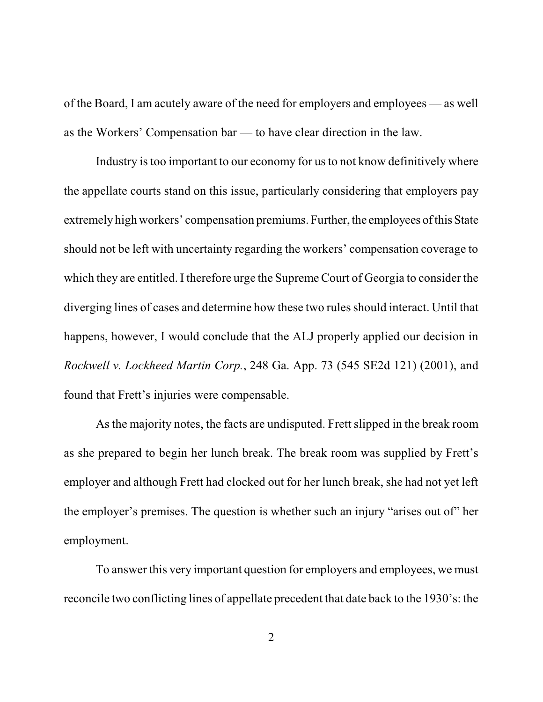of the Board, I am acutely aware of the need for employers and employees — as well as the Workers' Compensation bar — to have clear direction in the law.

Industry is too important to our economy for us to not know definitively where the appellate courts stand on this issue, particularly considering that employers pay extremely high workers' compensation premiums. Further, the employees of this State should not be left with uncertainty regarding the workers' compensation coverage to which they are entitled. I therefore urge the Supreme Court of Georgia to consider the diverging lines of cases and determine how these two rules should interact. Until that happens, however, I would conclude that the ALJ properly applied our decision in *Rockwell v. Lockheed Martin Corp.*, 248 Ga. App. 73 (545 SE2d 121) (2001), and found that Frett's injuries were compensable.

As the majority notes, the facts are undisputed. Frett slipped in the break room as she prepared to begin her lunch break. The break room was supplied by Frett's employer and although Frett had clocked out for her lunch break, she had not yet left the employer's premises. The question is whether such an injury "arises out of" her employment.

To answer this very important question for employers and employees, we must reconcile two conflicting lines of appellate precedent that date back to the 1930's: the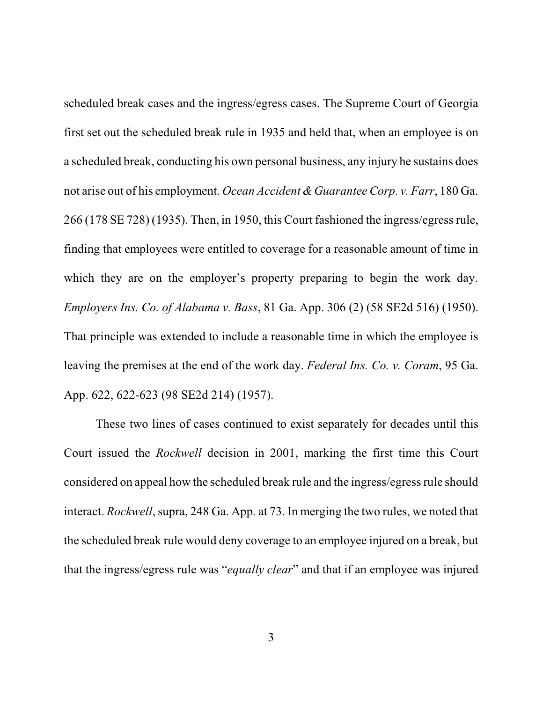scheduled break cases and the ingress/egress cases. The Supreme Court of Georgia first set out the scheduled break rule in 1935 and held that, when an employee is on a scheduled break, conducting his own personal business, any injury he sustains does not arise out of his employment. *Ocean Accident &Guarantee Corp. v. Farr*, 180 Ga. 266 (178 SE 728) (1935). Then, in 1950, this Court fashioned the ingress/egressrule, finding that employees were entitled to coverage for a reasonable amount of time in which they are on the employer's property preparing to begin the work day. *Employers Ins. Co. of Alabama v. Bass*, 81 Ga. App. 306 (2) (58 SE2d 516) (1950). That principle was extended to include a reasonable time in which the employee is leaving the premises at the end of the work day. *Federal Ins. Co. v. Coram*, 95 Ga. App. 622, 622-623 (98 SE2d 214) (1957).

These two lines of cases continued to exist separately for decades until this Court issued the *Rockwell* decision in 2001, marking the first time this Court considered on appeal how the scheduled break rule and the ingress/egress rule should interact. *Rockwell*, supra, 248 Ga. App. at 73. In merging the two rules, we noted that the scheduled break rule would deny coverage to an employee injured on a break, but that the ingress/egress rule was "*equally clear*" and that if an employee was injured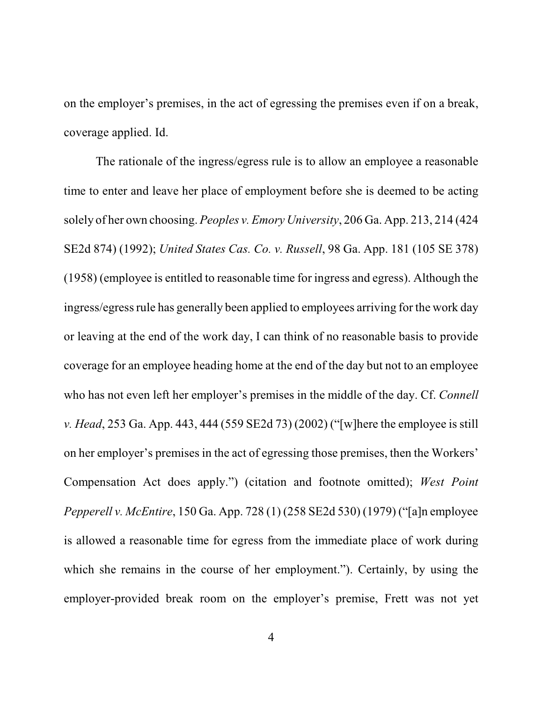on the employer's premises, in the act of egressing the premises even if on a break, coverage applied. Id.

The rationale of the ingress/egress rule is to allow an employee a reasonable time to enter and leave her place of employment before she is deemed to be acting solely of her own choosing. *Peoples v. Emory University*, 206 Ga. App. 213, 214 (424 SE2d 874) (1992); *United States Cas. Co. v. Russell*, 98 Ga. App. 181 (105 SE 378) (1958) (employee is entitled to reasonable time for ingress and egress). Although the ingress/egress rule has generally been applied to employees arriving for the work day or leaving at the end of the work day, I can think of no reasonable basis to provide coverage for an employee heading home at the end of the day but not to an employee who has not even left her employer's premises in the middle of the day. Cf. *Connell v. Head*, 253 Ga. App. 443, 444 (559 SE2d 73) (2002) ("[w]here the employee is still on her employer's premises in the act of egressing those premises, then the Workers' Compensation Act does apply.") (citation and footnote omitted); *West Point Pepperell v. McEntire*, 150 Ga. App. 728 (1) (258 SE2d 530) (1979) ("[a]n employee is allowed a reasonable time for egress from the immediate place of work during which she remains in the course of her employment."). Certainly, by using the employer-provided break room on the employer's premise, Frett was not yet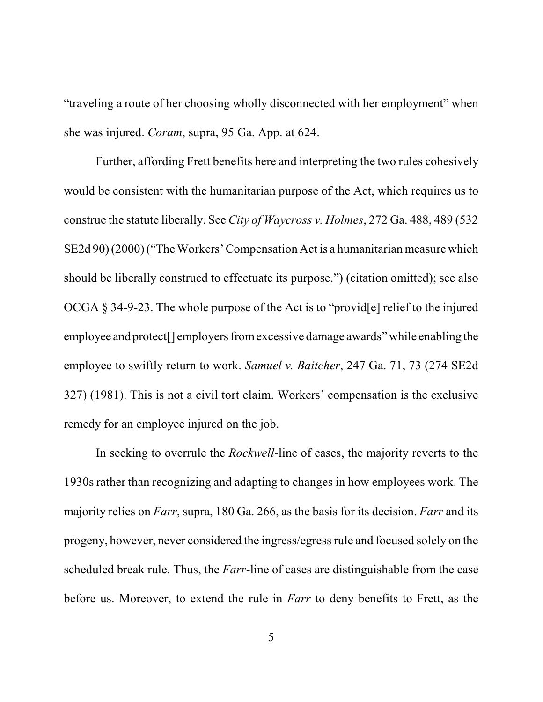"traveling a route of her choosing wholly disconnected with her employment" when she was injured. *Coram*, supra, 95 Ga. App. at 624.

Further, affording Frett benefits here and interpreting the two rules cohesively would be consistent with the humanitarian purpose of the Act, which requires us to construe the statute liberally. See *City of Waycross v. Holmes*, 272 Ga. 488, 489 (532 SE2d 90) (2000) ("The Workers' Compensation Act is a humanitarian measure which should be liberally construed to effectuate its purpose.") (citation omitted); see also OCGA § 34-9-23. The whole purpose of the Act is to "provid[e] relief to the injured employee and protect<sup>[]</sup> employers from excessive damage awards" while enabling the employee to swiftly return to work. *Samuel v. Baitcher*, 247 Ga. 71, 73 (274 SE2d 327) (1981). This is not a civil tort claim. Workers' compensation is the exclusive remedy for an employee injured on the job.

In seeking to overrule the *Rockwell*-line of cases, the majority reverts to the 1930s rather than recognizing and adapting to changes in how employees work. The majority relies on *Farr*, supra, 180 Ga. 266, as the basis for its decision. *Farr* and its progeny, however, never considered the ingress/egressrule and focused solely on the scheduled break rule. Thus, the *Farr*-line of cases are distinguishable from the case before us. Moreover, to extend the rule in *Farr* to deny benefits to Frett, as the